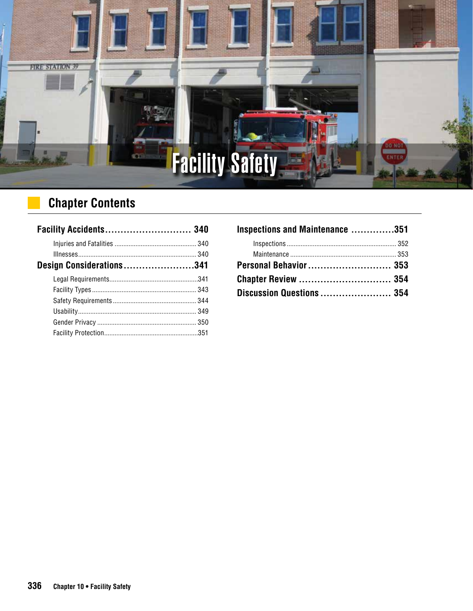

# **Chapter Contents**

| Facility Accidents 340   |  |
|--------------------------|--|
|                          |  |
|                          |  |
| Design Considerations341 |  |
|                          |  |
|                          |  |
|                          |  |
|                          |  |
|                          |  |
|                          |  |

| Inspections and Maintenance 351 |  |
|---------------------------------|--|
|                                 |  |
|                                 |  |
| Personal Behavior 353           |  |
| <b>Chapter Review  354</b>      |  |
| Discussion Questions  354       |  |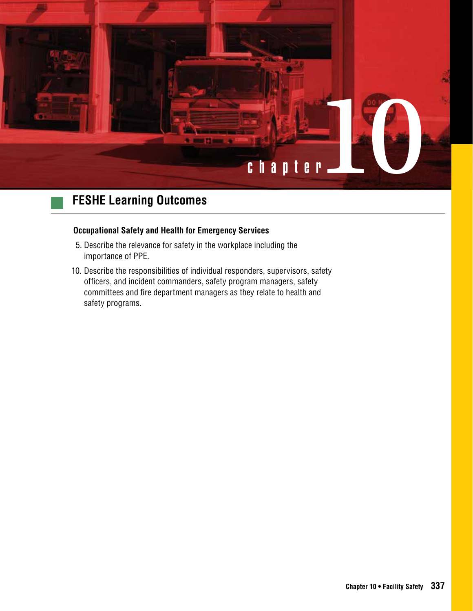

#### **Occupational Safety and Health for Emergency Services**

- 5. Describe the relevance for safety in the workplace including the importance of PPE.
- 10. Describe the responsibilities of individual responders, supervisors, safety officers, and incident commanders, safety program managers, safety committees and fire department managers as they relate to health and safety programs.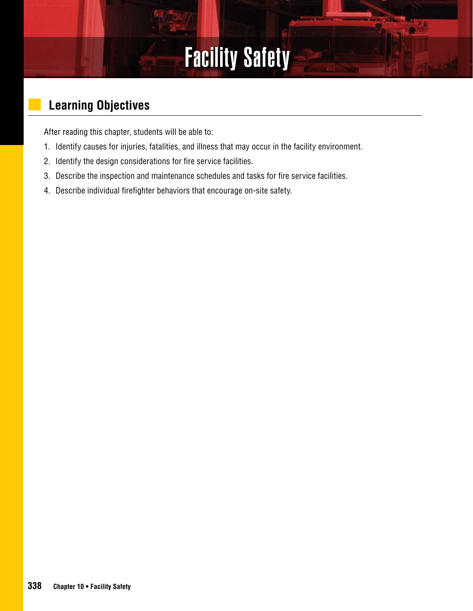# Facility Safety

# **Learning Objectives**

After reading this chapter, students will be able to:

- 1. Identify causes for injuries, fatalities, and illness that may occur in the facility environment.
- 2. Identify the design considerations for fire service facilities.
- 3. Describe the inspection and maintenance schedules and tasks for fire service facilities.
- 4. Describe individual firefighter behaviors that encourage on-site safety.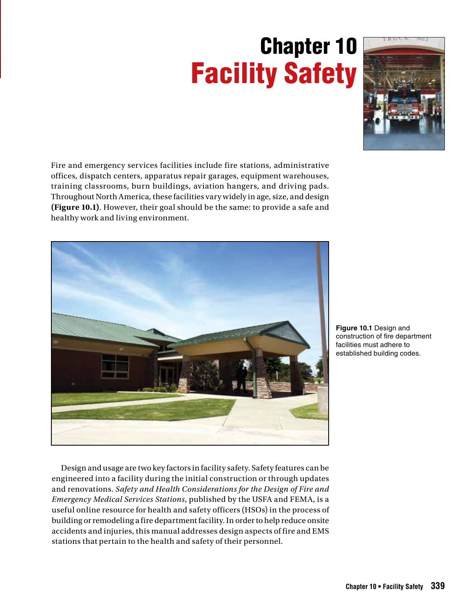# Chapter 10 Facility Safety



Fire and emergency services facilities include fire stations, administrative offices, dispatch centers, apparatus repair garages, equipment warehouses, training classrooms, burn buildings, aviation hangers, and driving pads. Throughout North America, these facilities vary widely in age, size, and design **(Figure 10.1)**. However, their goal should be the same: to provide a safe and healthy work and living environment.



**Figure 10.1** Design and construction of fire department facilities must adhere to established building codes.

Design and usage are two key factors in facility safety. Safety features can be engineered into a facility during the initial construction or through updates and renovations. *Safety and Health Considerations for the Design of Fire and Emergency Medical Services Stations*, published by the USFA and FEMA, is a useful online resource for health and safety officers (HSOs) in the process of building or remodeling a fire department facility. In order to help reduce onsite accidents and injuries, this manual addresses design aspects of fire and EMS stations that pertain to the health and safety of their personnel.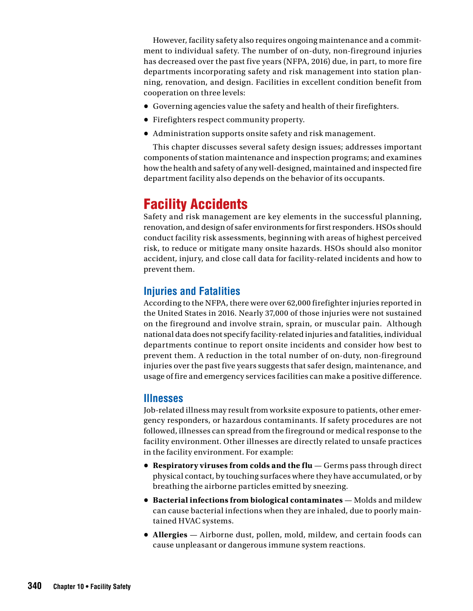However, facility safety also requires ongoing maintenance and a commitment to individual safety. The number of on-duty, non-fireground injuries has decreased over the past five years (NFPA, 2016) due, in part, to more fire departments incorporating safety and risk management into station planning, renovation, and design. Facilities in excellent condition benefit from cooperation on three levels:

- Governing agencies value the safety and health of their firefighters.
- Firefighters respect community property.
- Administration supports onsite safety and risk management.

This chapter discusses several safety design issues; addresses important components of station maintenance and inspection programs; and examines how the health and safety of any well-designed, maintained and inspected fire department facility also depends on the behavior of its occupants.

# Facility Accidents

Safety and risk management are key elements in the successful planning, renovation, and design of safer environments for first responders. HSOs should conduct facility risk assessments, beginning with areas of highest perceived risk, to reduce or mitigate many onsite hazards. HSOs should also monitor accident, injury, and close call data for facility-related incidents and how to prevent them.

#### **Injuries and Fatalities**

According to the NFPA, there were over 62,000 firefighter injuries reported in the United States in 2016. Nearly 37,000 of those injuries were not sustained on the fireground and involve strain, sprain, or muscular pain. Although national data does not specify facility-related injuries and fatalities, individual departments continue to report onsite incidents and consider how best to prevent them. A reduction in the total number of on-duty, non-fireground injuries over the past five years suggests that safer design, maintenance, and usage of fire and emergency services facilities can make a positive difference.

#### **Illnesses**

Job-related illness may result from worksite exposure to patients, other emergency responders, or hazardous contaminants. If safety procedures are not followed, illnesses can spread from the fireground or medical response to the facility environment. Other illnesses are directly related to unsafe practices in the facility environment. For example:

- **• Respiratory viruses from colds and the flu** Germs pass through direct physical contact, by touching surfaces where they have accumulated, or by breathing the airborne particles emitted by sneezing.
- **• Bacterial infections from biological contaminates**  Molds and mildew can cause bacterial infections when they are inhaled, due to poorly maintained HVAC systems.
- **• Allergies** Airborne dust, pollen, mold, mildew, and certain foods can cause unpleasant or dangerous immune system reactions.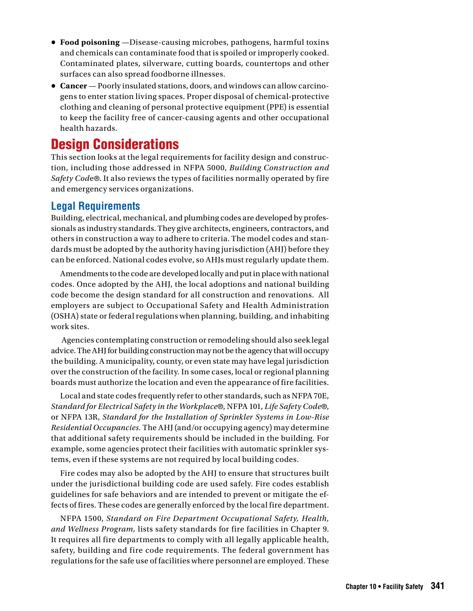- **• Food poisoning** —Disease-causing microbes, pathogens, harmful toxins and chemicals can contaminate food that is spoiled or improperly cooked. Contaminated plates, silverware, cutting boards, countertops and other surfaces can also spread foodborne illnesses.
- **• Cancer** Poorly insulated stations, doors, and windows can allow carcinogens to enter station living spaces. Proper disposal of chemical-protective clothing and cleaning of personal protective equipment (PPE) is essential to keep the facility free of cancer-causing agents and other occupational health hazards.

# Design Considerations

This section looks at the legal requirements for facility design and construction, including those addressed in NFPA 5000, *Building Construction and Safety Cod*e®. It also reviews the types of facilities normally operated by fire and emergency services organizations.

#### **Legal Requirements**

Building, electrical, mechanical, and plumbing codes are developed by professionals as industry standards. They give architects, engineers, contractors, and others in construction a way to adhere to criteria. The model codes and standards must be adopted by the authority having jurisdiction (AHJ) before they can be enforced. National codes evolve, so AHJs must regularly update them.

Amendments to the code are developed locally and put in place with national codes. Once adopted by the AHJ, the local adoptions and national building code become the design standard for all construction and renovations. All employers are subject to Occupational Safety and Health Administration (OSHA) state or federal regulations when planning, building, and inhabiting work sites.

 Agencies contemplating construction or remodeling should also seek legal advice. The AHJ for building construction may not be the agency that will occupy the building. A municipality, county, or even state may have legal jurisdiction over the construction of the facility. In some cases, local or regional planning boards must authorize the location and even the appearance of fire facilities.

Local and state codes frequently refer to other standards, such as NFPA 70E, *Standard for Electrical Safety in the Workplace*®, NFPA 101, *Life Safety Code*®, or NFPA 13R, *Standard for the Installation of Sprinkler Systems in Low-Rise Residential Occupancies.* The AHJ (and/or occupying agency) may determine that additional safety requirements should be included in the building. For example, some agencies protect their facilities with automatic sprinkler systems, even if these systems are not required by local building codes.

Fire codes may also be adopted by the AHJ to ensure that structures built under the jurisdictional building code are used safely. Fire codes establish guidelines for safe behaviors and are intended to prevent or mitigate the effects of fires. These codes are generally enforced by the local fire department.

NFPA 1500, *Standard on Fire Department Occupational Safety, Health, and Wellness Program,* lists safety standards for fire facilities in Chapter 9. It requires all fire departments to comply with all legally applicable health, safety, building and fire code requirements. The federal government has regulations for the safe use of facilities where personnel are employed. These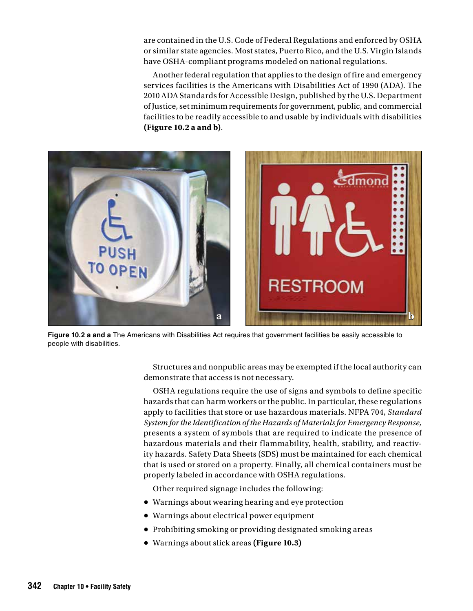are contained in the U.S. Code of Federal Regulations and enforced by OSHA or similar state agencies. Most states, Puerto Rico, and the U.S. Virgin Islands have OSHA-compliant programs modeled on national regulations.

Another federal regulation that applies to the design of fire and emergency services facilities is the Americans with Disabilities Act of 1990 (ADA). The 2010 ADA Standards for Accessible Design, published by the U.S. Department of Justice, set minimum requirements for government, public, and commercial facilities to be readily accessible to and usable by individuals with disabilities **(Figure 10.2 a and b)**.



**Figure 10.2 a and a** The Americans with Disabilities Act requires that government facilities be easily accessible to people with disabilities.

Structures and nonpublic areas may be exempted if the local authority can demonstrate that access is not necessary.

OSHA regulations require the use of signs and symbols to define specific hazards that can harm workers or the public. In particular, these regulations apply to facilities that store or use hazardous materials. NFPA 704, *Standard System for the Identification of the Hazards of Materials for Emergency Response,* presents a system of symbols that are required to indicate the presence of hazardous materials and their flammability, health, stability, and reactivity hazards. Safety Data Sheets (SDS) must be maintained for each chemical that is used or stored on a property. Finally, all chemical containers must be properly labeled in accordance with OSHA regulations.

Other required signage includes the following:

- **•** Warnings about wearing hearing and eye protection
- **•** Warnings about electrical power equipment
- **•** Prohibiting smoking or providing designated smoking areas
- **•** Warnings about slick areas **(Figure 10.3)**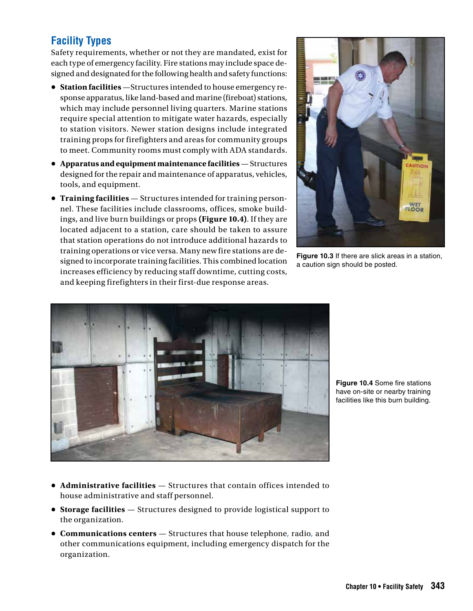### **Facility Types**

Safety requirements, whether or not they are mandated, exist for each type of emergency facility. Fire stations may include space designed and designated for the following health and safety functions:

- **Station facilities** —Structures intended to house emergency response apparatus, like land-based and marine (fireboat) stations, which may include personnel living quarters. Marine stations require special attention to mitigate water hazards, especially to station visitors. Newer station designs include integrated training props for firefighters and areas for community groups to meet. Community rooms must comply with ADA standards.
- **Apparatus and equipment maintenance facilities** Structures designed for the repair and maintenance of apparatus, vehicles, tools, and equipment.
- **Training facilities** Structures intended for training personnel. These facilities include classrooms, offices, smoke buildings, and live burn buildings or props **(Figure 10.4)**. If they are located adjacent to a station, care should be taken to assure that station operations do not introduce additional hazards to training operations or vice versa. Many new fire stations are designed to incorporate training facilities. This combined location increases efficiency by reducing staff downtime, cutting costs, and keeping firefighters in their first-due response areas.



**Figure 10.3** If there are slick areas in a station, a caution sign should be posted.



**Figure 10.4** Some fire stations have on-site or nearby training facilities like this burn building.

- **Administrative facilities** Structures that contain offices intended to house administrative and staff personnel.
- **Storage facilities** Structures designed to provide logistical support to the organization.
- **Communications centers** Structures that house telephone*,* radio*,* and other communications equipment, including emergency dispatch for the organization.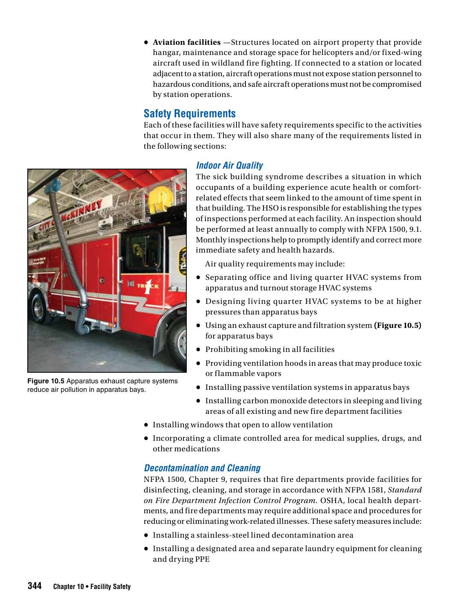**• Aviation facilities** —Structures located on airport property that provide hangar, maintenance and storage space for helicopters and/or fixed-wing aircraft used in wildland fire fighting. If connected to a station or located adjacent to a station, aircraft operations must not expose station personnel to hazardous conditions, and safe aircraft operations must not be compromised by station operations.

#### **Safety Requirements**

Each of these facilities will have safety requirements specific to the activities that occur in them. They will also share many of the requirements listed in the following sections:



The sick building syndrome describes a situation in which occupants of a building experience acute health or comfortrelated effects that seem linked to the amount of time spent in that building. The HSO is responsible for establishing the types of inspections performed at each facility. An inspection should be performed at least annually to comply with NFPA 1500, 9.1. Monthly inspections help to promptly identify and correct more immediate safety and health hazards.

Air quality requirements may include:

- Separating office and living quarter HVAC systems from apparatus and turnout storage HVAC systems
- Designing living quarter HVAC systems to be at higher pressures than apparatus bays
- Using an exhaust capture and filtration system **(Figure 10.5)** for apparatus bays
- Prohibiting smoking in all facilities
- Providing ventilation hoods in areas that may produce toxic or flammable vapors
- Installing passive ventilation systems in apparatus bays
- **•** Installing carbon monoxide detectors in sleeping and living areas of all existing and new fire department facilities
- Installing windows that open to allow ventilation
- Incorporating a climate controlled area for medical supplies, drugs, and other medications

#### *Decontamination and Cleaning*

NFPA 1500, Chapter 9, requires that fire departments provide facilities for disinfecting, cleaning, and storage in accordance with NFPA 1581, *Standard on Fire Department Infection Control Program.* OSHA, local health departments, and fire departments may require additional space and procedures for reducing or eliminating work-related illnesses. These safety measures include:

- Installing a stainless-steel lined decontamination area
- Installing a designated area and separate laundry equipment for cleaning and drying PPE



**Figure 10.5** Apparatus exhaust capture systems reduce air pollution in apparatus bays.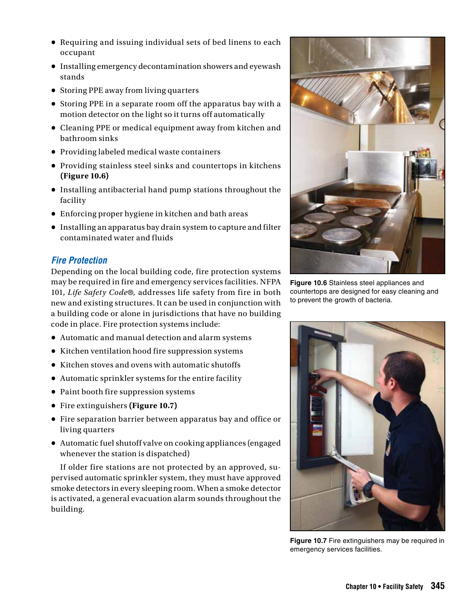- Requiring and issuing individual sets of bed linens to each occupant
- Installing emergency decontamination showers and eyewash stands
- Storing PPE away from living quarters
- Storing PPE in a separate room off the apparatus bay with a motion detector on the light so it turns off automatically
- Cleaning PPE or medical equipment away from kitchen and bathroom sinks
- Providing labeled medical waste containers
- Providing stainless steel sinks and countertops in kitchens **(Figure 10.6)**
- Installing antibacterial hand pump stations throughout the facility
- Enforcing proper hygiene in kitchen and bath areas
- Installing an apparatus bay drain system to capture and filter contaminated water and fluids

#### *Fire Protection*

Depending on the local building code, fire protection systems may be required in fire and emergency services facilities. NFPA 101, *Life Safety Code*®*,* addresses life safety from fire in both new and existing structures. It can be used in conjunction with a building code or alone in jurisdictions that have no building code in place. Fire protection systems include:

- Automatic and manual detection and alarm systems
- Kitchen ventilation hood fire suppression systems
- Kitchen stoves and ovens with automatic shutoffs
- Automatic sprinkler systems for the entire facility
- Paint booth fire suppression systems
- Fire extinguishers **(Figure 10.7)**
- Fire separation barrier between apparatus bay and office or living quarters
- Automatic fuel shutoff valve on cooking appliances (engaged whenever the station is dispatched)

If older fire stations are not protected by an approved, supervised automatic sprinkler system, they must have approved smoke detectors in every sleeping room. When a smoke detector is activated, a general evacuation alarm sounds throughout the building.



**Figure 10.6** Stainless steel appliances and countertops are designed for easy cleaning and to prevent the growth of bacteria.



**Figure 10.7** Fire extinguishers may be required in emergency services facilities.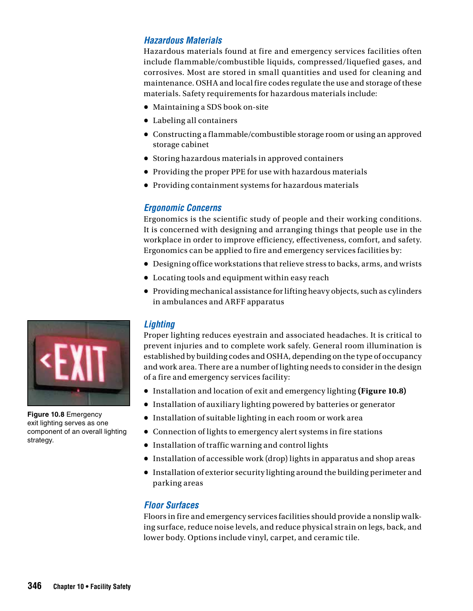#### *Hazardous Materials*

Hazardous materials found at fire and emergency services facilities often include flammable/combustible liquids, compressed/liquefied gases, and corrosives. Most are stored in small quantities and used for cleaning and maintenance. OSHA and local fire codes regulate the use and storage of these materials. Safety requirements for hazardous materials include:

- Maintaining a SDS book on-site
- Labeling all containers
- Constructing a flammable/combustible storage room or using an approved storage cabinet
- Storing hazardous materials in approved containers
- Providing the proper PPE for use with hazardous materials
- Providing containment systems for hazardous materials

#### *Ergonomic Concerns*

Ergonomics is the scientific study of people and their working conditions. It is concerned with designing and arranging things that people use in the workplace in order to improve efficiency, effectiveness, comfort, and safety. Ergonomics can be applied to fire and emergency services facilities by:

- Designing office workstations that relieve stress to backs, arms, and wrists
- Locating tools and equipment within easy reach
- Providing mechanical assistance for lifting heavy objects, such as cylinders in ambulances and ARFF apparatus

#### *Lighting*

Proper lighting reduces eyestrain and associated headaches. It is critical to prevent injuries and to complete work safely. General room illumination is established by building codes and OSHA, depending on the type of occupancy and work area. There are a number of lighting needs to consider in the design of a fire and emergency services facility:

- Installation and location of exit and emergency lighting **(Figure 10.8)**
- Installation of auxiliary lighting powered by batteries or generator
- Installation of suitable lighting in each room or work area
- Connection of lights to emergency alert systems in fire stations
- Installation of traffic warning and control lights
- Installation of accessible work (drop) lights in apparatus and shop areas
- **•** Installation of exterior security lighting around the building perimeter and parking areas

#### *Floor Surfaces*

Floors in fire and emergency services facilities should provide a nonslip walking surface, reduce noise levels, and reduce physical strain on legs, back, and lower body. Options include vinyl, carpet, and ceramic tile.



**Figure 10.8** Emergency exit lighting serves as one component of an overall lighting strategy.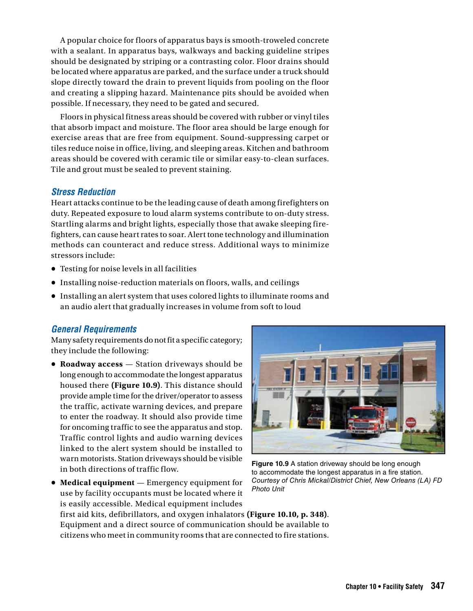A popular choice for floors of apparatus bays is smooth-troweled concrete with a sealant. In apparatus bays, walkways and backing guideline stripes should be designated by striping or a contrasting color. Floor drains should be located where apparatus are parked, and the surface under a truck should slope directly toward the drain to prevent liquids from pooling on the floor and creating a slipping hazard. Maintenance pits should be avoided when possible. If necessary, they need to be gated and secured.

Floors in physical fitness areas should be covered with rubber or vinyl tiles that absorb impact and moisture. The floor area should be large enough for exercise areas that are free from equipment. Sound-suppressing carpet or tiles reduce noise in office, living, and sleeping areas. Kitchen and bathroom areas should be covered with ceramic tile or similar easy-to-clean surfaces. Tile and grout must be sealed to prevent staining.

#### *Stress Reduction*

Heart attacks continue to be the leading cause of death among firefighters on duty. Repeated exposure to loud alarm systems contribute to on-duty stress. Startling alarms and bright lights, especially those that awake sleeping firefighters, can cause heart rates to soar. Alert tone technology and illumination methods can counteract and reduce stress. Additional ways to minimize stressors include:

- Testing for noise levels in all facilities
- Installing noise-reduction materials on floors, walls, and ceilings
- Installing an alert system that uses colored lights to illuminate rooms and an audio alert that gradually increases in volume from soft to loud

#### *General Requirements*

Many safety requirements do not fit a specific category; they include the following:

- **Roadway access** Station driveways should be long enough to accommodate the longest apparatus housed there **(Figure 10.9)**. This distance should provide ample time for the driver/operator to assess the traffic, activate warning devices, and prepare to enter the roadway. It should also provide time for oncoming traffic to see the apparatus and stop. Traffic control lights and audio warning devices linked to the alert system should be installed to warn motorists. Station driveways should be visible in both directions of traffic flow.
- **Medical equipment**  Emergency equipment for use by facility occupants must be located where it is easily accessible. Medical equipment includes



**Figure 10.9** A station driveway should be long enough to accommodate the longest apparatus in a fire station. *Courtesy of Chris Mickal/District Chief, New Orleans (LA) FD Photo Unit*

first aid kits, defibrillators, and oxygen inhalators **(Figure 10.10, p. 348)**. Equipment and a direct source of communication should be available to citizens who meet in community rooms that are connected to fire stations.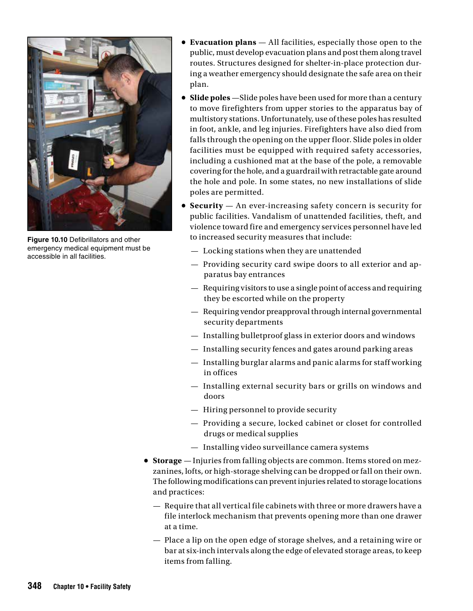

**Figure 10.10** Defibrillators and other emergency medical equipment must be accessible in all facilities.

- **Evacuation plans** All facilities, especially those open to the public, must develop evacuation plans and post them along travel routes. Structures designed for shelter-in-place protection during a weather emergency should designate the safe area on their plan.
- **Slide poles** —Slide poles have been used for more than a century to move firefighters from upper stories to the apparatus bay of multistory stations. Unfortunately, use of these poles has resulted in foot, ankle, and leg injuries. Firefighters have also died from falls through the opening on the upper floor. Slide poles in older facilities must be equipped with required safety accessories, including a cushioned mat at the base of the pole, a removable covering for the hole, and a guardrail with retractable gate around the hole and pole. In some states, no new installations of slide poles are permitted.
- **Security** An ever-increasing safety concern is security for public facilities. Vandalism of unattended facilities, theft, and violence toward fire and emergency services personnel have led to increased security measures that include:
	- Locking stations when they are unattended
	- Providing security card swipe doors to all exterior and apparatus bay entrances
	- Requiring visitors to use a single point of access and requiring they be escorted while on the property
	- Requiring vendor preapproval through internal governmental security departments
	- Installing bulletproof glass in exterior doors and windows
	- Installing security fences and gates around parking areas
	- Installing burglar alarms and panic alarms for staff working in offices
	- Installing external security bars or grills on windows and doors
	- Hiring personnel to provide security
	- Providing a secure, locked cabinet or closet for controlled drugs or medical supplies
	- Installing video surveillance camera systems
- **• Storage** Injuries from falling objects are common. Items stored on mezzanines, lofts, or high-storage shelving can be dropped or fall on their own. The following modifications can prevent injuries related to storage locations and practices:
	- Require that all vertical file cabinets with three or more drawers have a file interlock mechanism that prevents opening more than one drawer at a time.
	- Place a lip on the open edge of storage shelves, and a retaining wire or bar at six-inch intervals along the edge of elevated storage areas, to keep items from falling.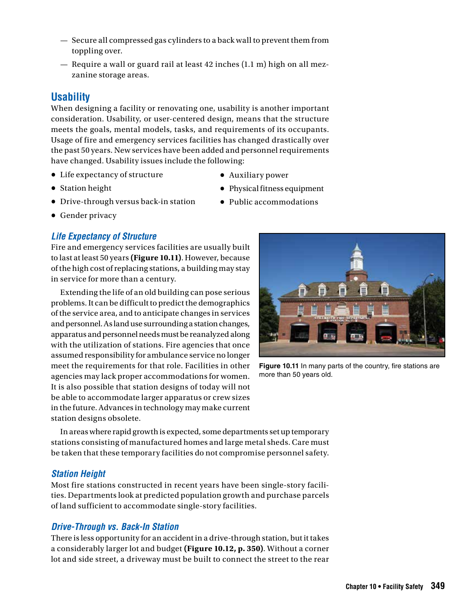- Secure all compressed gas cylinders to a back wall to prevent them from toppling over.
- Require a wall or guard rail at least 42 inches (1.1 m) high on all mezzanine storage areas.

#### **Usability**

When designing a facility or renovating one, usability is another important consideration. Usability, or user-centered design, means that the structure meets the goals, mental models, tasks, and requirements of its occupants. Usage of fire and emergency services facilities has changed drastically over the past 50 years. New services have been added and personnel requirements have changed. Usability issues include the following:

- Life expectancy of structure
- Auxiliary power

- Station height
- Drive-through versus back-in station
- Physical fitness equipment **•** Public accommodations

**•** Gender privacy

#### *Life Expectancy of Structure*

Fire and emergency services facilities are usually built to last at least 50 years **(Figure 10.11)**. However, because of the high cost of replacing stations, a building may stay in service for more than a century.

Extending the life of an old building can pose serious problems. It can be difficult to predict the demographics of the service area, and to anticipate changes in services and personnel. As land use surrounding a station changes, apparatus and personnel needs must be reanalyzed along with the utilization of stations. Fire agencies that once assumed responsibility for ambulance service no longer meet the requirements for that role. Facilities in other agencies may lack proper accommodations for women. It is also possible that station designs of today will not be able to accommodate larger apparatus or crew sizes in the future. Advances in technology may make current station designs obsolete.



**Figure 10.11** In many parts of the country, fire stations are more than 50 years old.

In areas where rapid growth is expected, some departments set up temporary stations consisting of manufactured homes and large metal sheds. Care must be taken that these temporary facilities do not compromise personnel safety.

#### *Station Height*

Most fire stations constructed in recent years have been single-story facilities. Departments look at predicted population growth and purchase parcels of land sufficient to accommodate single-story facilities.

#### *Drive-Through vs. Back-In Station*

There is less opportunity for an accident in a drive-through station, but it takes a considerably larger lot and budget **(Figure 10.12, p. 350)**. Without a corner lot and side street, a driveway must be built to connect the street to the rear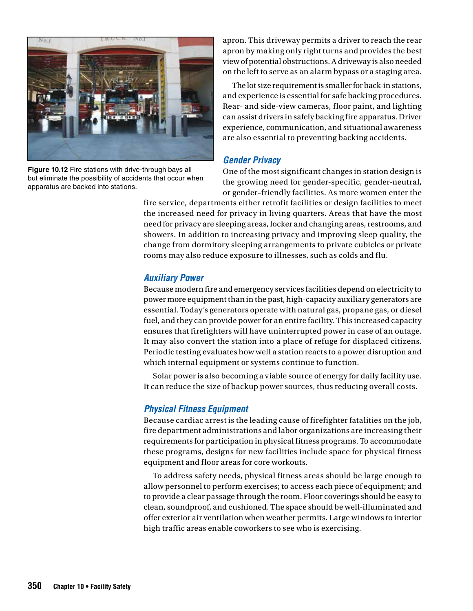

**Figure 10.12** Fire stations with drive-through bays all but eliminate the possibility of accidents that occur when apparatus are backed into stations.

apron. This driveway permits a driver to reach the rear apron by making only right turns and provides the best view of potential obstructions. A driveway is also needed on the left to serve as an alarm bypass or a staging area.

The lot size requirement is smaller for back-in stations, and experience is essential for safe backing procedures. Rear- and side-view cameras, floor paint, and lighting can assist drivers in safely backing fire apparatus. Driver experience, communication, and situational awareness are also essential to preventing backing accidents.

#### *Gender Privacy*

One of the most significant changes in station design is the growing need for gender-specific, gender-neutral, or gender–friendly facilities. As more women enter the

fire service, departments either retrofit facilities or design facilities to meet the increased need for privacy in living quarters. Areas that have the most need for privacy are sleeping areas, locker and changing areas, restrooms, and showers. In addition to increasing privacy and improving sleep quality, the change from dormitory sleeping arrangements to private cubicles or private rooms may also reduce exposure to illnesses, such as colds and flu.

#### *Auxiliary Power*

Because modern fire and emergency services facilities depend on electricity to power more equipment than in the past, high-capacity auxiliary generators are essential. Today's generators operate with natural gas, propane gas, or diesel fuel, and they can provide power for an entire facility. This increased capacity ensures that firefighters will have uninterrupted power in case of an outage. It may also convert the station into a place of refuge for displaced citizens. Periodic testing evaluates how well a station reacts to a power disruption and which internal equipment or systems continue to function.

Solar power is also becoming a viable source of energy for daily facility use. It can reduce the size of backup power sources, thus reducing overall costs.

#### *Physical Fitness Equipment*

Because cardiac arrest is the leading cause of firefighter fatalities on the job, fire department administrations and labor organizations are increasing their requirements for participation in physical fitness programs. To accommodate these programs, designs for new facilities include space for physical fitness equipment and floor areas for core workouts.

To address safety needs, physical fitness areas should be large enough to allow personnel to perform exercises; to access each piece of equipment; and to provide a clear passage through the room. Floor coverings should be easy to clean, soundproof, and cushioned. The space should be well-illuminated and offer exterior air ventilation when weather permits. Large windows to interior high traffic areas enable coworkers to see who is exercising.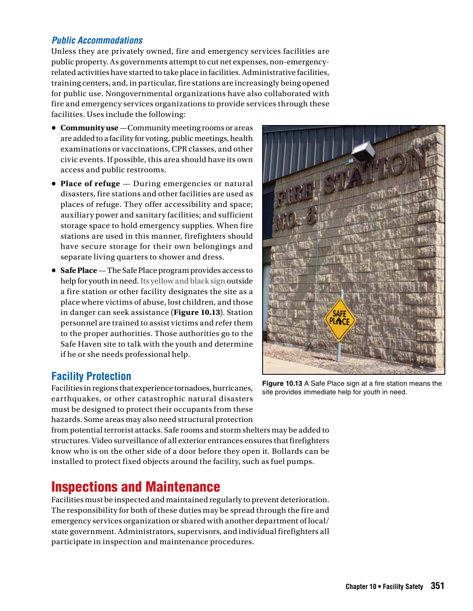#### *Public Accommodations*

Unless they are privately owned, fire and emergency services facilities are public property. As governments attempt to cut net expenses, non-emergencyrelated activities have started to take place in facilities. Administrative facilities, training centers, and, in particular, fire stations are increasingly being opened for public use. Nongovernmental organizations have also collaborated with fire and emergency services organizations to provide services through these facilities. Uses include the following:

- **Community use**—Community meeting rooms or areas are added to a facility for voting, public meetings, health examinations or vaccinations, CPR classes, and other civic events. If possible, this area should have its own access and public restrooms.
- **Place of refuge** During emergencies or natural disasters, fire stations and other facilities are used as places of refuge. They offer accessibility and space; auxiliary power and sanitary facilities; and sufficient storage space to hold emergency supplies. When fire stations are used in this manner, firefighters should have secure storage for their own belongings and separate living quarters to shower and dress.
- **Safe Place** The Safe Place program provides access to help for youth in need. Its yellow and black sign outside a fire station or other facility designates the site as a place where victims of abuse, lost children, and those in danger can seek assistance (**Figure 10.13**). Station personnel are trained to assist victims and refer them to the proper authorities. Those authorities go to the Safe Haven site to talk with the youth and determine if he or she needs professional help.

# **SAFF**

#### **Facility Protection**

Facilities in regions that experience tornadoes, hurricanes, earthquakes, or other catastrophic natural disasters must be designed to protect their occupants from these hazards. Some areas may also need structural protection

from potential terrorist attacks. Safe rooms and storm shelters may be added to structures. Video surveillance of all exterior entrances ensures that firefighters know who is on the other side of a door before they open it. Bollards can be installed to protect fixed objects around the facility, such as fuel pumps.

# Inspections and Maintenance

Facilities must be inspected and maintained regularly to prevent deterioration. The responsibility for both of these duties may be spread through the fire and emergency services organization or shared with another department of local/ state government. Administrators, supervisors, and individual firefighters all participate in inspection and maintenance procedures.

**Figure 10.13** A Safe Place sign at a fire station means the site provides immediate help for youth in need.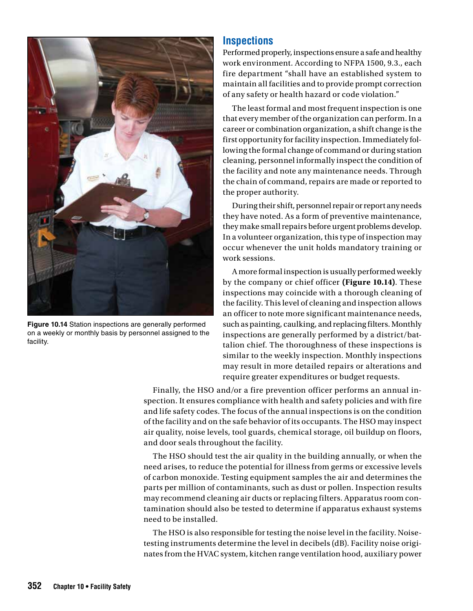

**Figure 10.14** Station inspections are generally performed on a weekly or monthly basis by personnel assigned to the facility.

#### **Inspections**

Performed properly, inspections ensure a safe and healthy work environment. According to NFPA 1500, 9.3., each fire department "shall have an established system to maintain all facilities and to provide prompt correction of any safety or health hazard or code violation."

The least formal and most frequent inspection is one that every member of the organization can perform. In a career or combination organization, a shift change is the first opportunity for facility inspection. Immediately following the formal change of command or during station cleaning, personnel informally inspect the condition of the facility and note any maintenance needs. Through the chain of command, repairs are made or reported to the proper authority.

During their shift, personnel repair or report any needs they have noted. As a form of preventive maintenance, they make small repairs before urgent problems develop. In a volunteer organization, this type of inspection may occur whenever the unit holds mandatory training or work sessions.

A more formal inspection is usually performed weekly by the company or chief officer **(Figure 10.14)**. These inspections may coincide with a thorough cleaning of the facility. This level of cleaning and inspection allows an officer to note more significant maintenance needs, such as painting, caulking, and replacing filters. Monthly inspections are generally performed by a district/battalion chief. The thoroughness of these inspections is similar to the weekly inspection. Monthly inspections may result in more detailed repairs or alterations and require greater expenditures or budget requests.

Finally, the HSO and/or a fire prevention officer performs an annual inspection. It ensures compliance with health and safety policies and with fire and life safety codes. The focus of the annual inspections is on the condition of the facility and on the safe behavior of its occupants. The HSO may inspect air quality, noise levels, tool guards, chemical storage, oil buildup on floors, and door seals throughout the facility.

The HSO should test the air quality in the building annually, or when the need arises, to reduce the potential for illness from germs or excessive levels of carbon monoxide. Testing equipment samples the air and determines the parts per million of contaminants, such as dust or pollen. Inspection results may recommend cleaning air ducts or replacing filters. Apparatus room contamination should also be tested to determine if apparatus exhaust systems need to be installed.

The HSO is also responsible for testing the noise level in the facility. Noisetesting instruments determine the level in decibels (dB). Facility noise originates from the HVAC system, kitchen range ventilation hood, auxiliary power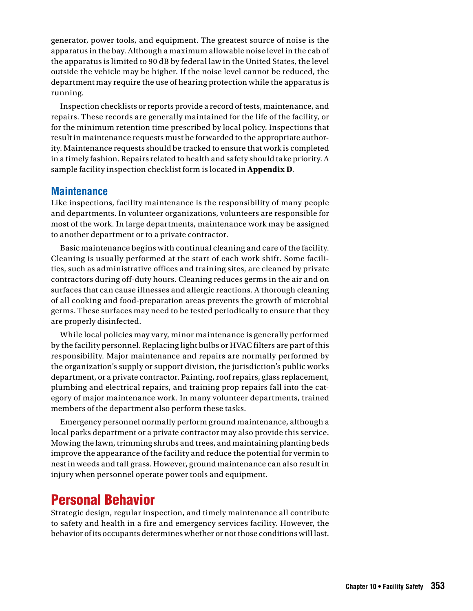generator, power tools, and equipment. The greatest source of noise is the apparatus in the bay. Although a maximum allowable noise level in the cab of the apparatus is limited to 90 dB by federal law in the United States, the level outside the vehicle may be higher. If the noise level cannot be reduced, the department may require the use of hearing protection while the apparatus is running.

Inspection checklists or reports provide a record of tests, maintenance, and repairs. These records are generally maintained for the life of the facility, or for the minimum retention time prescribed by local policy. Inspections that result in maintenance requests must be forwarded to the appropriate authority. Maintenance requests should be tracked to ensure that work is completed in a timely fashion. Repairs related to health and safety should take priority. A sample facility inspection checklist form is located in **Appendix D**.

#### **Maintenance**

Like inspections, facility maintenance is the responsibility of many people and departments. In volunteer organizations, volunteers are responsible for most of the work. In large departments, maintenance work may be assigned to another department or to a private contractor.

Basic maintenance begins with continual cleaning and care of the facility. Cleaning is usually performed at the start of each work shift. Some facilities, such as administrative offices and training sites, are cleaned by private contractors during off-duty hours. Cleaning reduces germs in the air and on surfaces that can cause illnesses and allergic reactions. A thorough cleaning of all cooking and food-preparation areas prevents the growth of microbial germs. These surfaces may need to be tested periodically to ensure that they are properly disinfected.

While local policies may vary, minor maintenance is generally performed by the facility personnel. Replacing light bulbs or HVAC filters are part of this responsibility. Major maintenance and repairs are normally performed by the organization's supply or support division, the jurisdiction's public works department, or a private contractor. Painting, roof repairs, glass replacement, plumbing and electrical repairs, and training prop repairs fall into the category of major maintenance work. In many volunteer departments, trained members of the department also perform these tasks.

Emergency personnel normally perform ground maintenance, although a local parks department or a private contractor may also provide this service. Mowing the lawn, trimming shrubs and trees, and maintaining planting beds improve the appearance of the facility and reduce the potential for vermin to nest in weeds and tall grass. However, ground maintenance can also result in injury when personnel operate power tools and equipment.

## Personal Behavior

Strategic design, regular inspection, and timely maintenance all contribute to safety and health in a fire and emergency services facility. However, the behavior of its occupants determines whether or not those conditions will last.